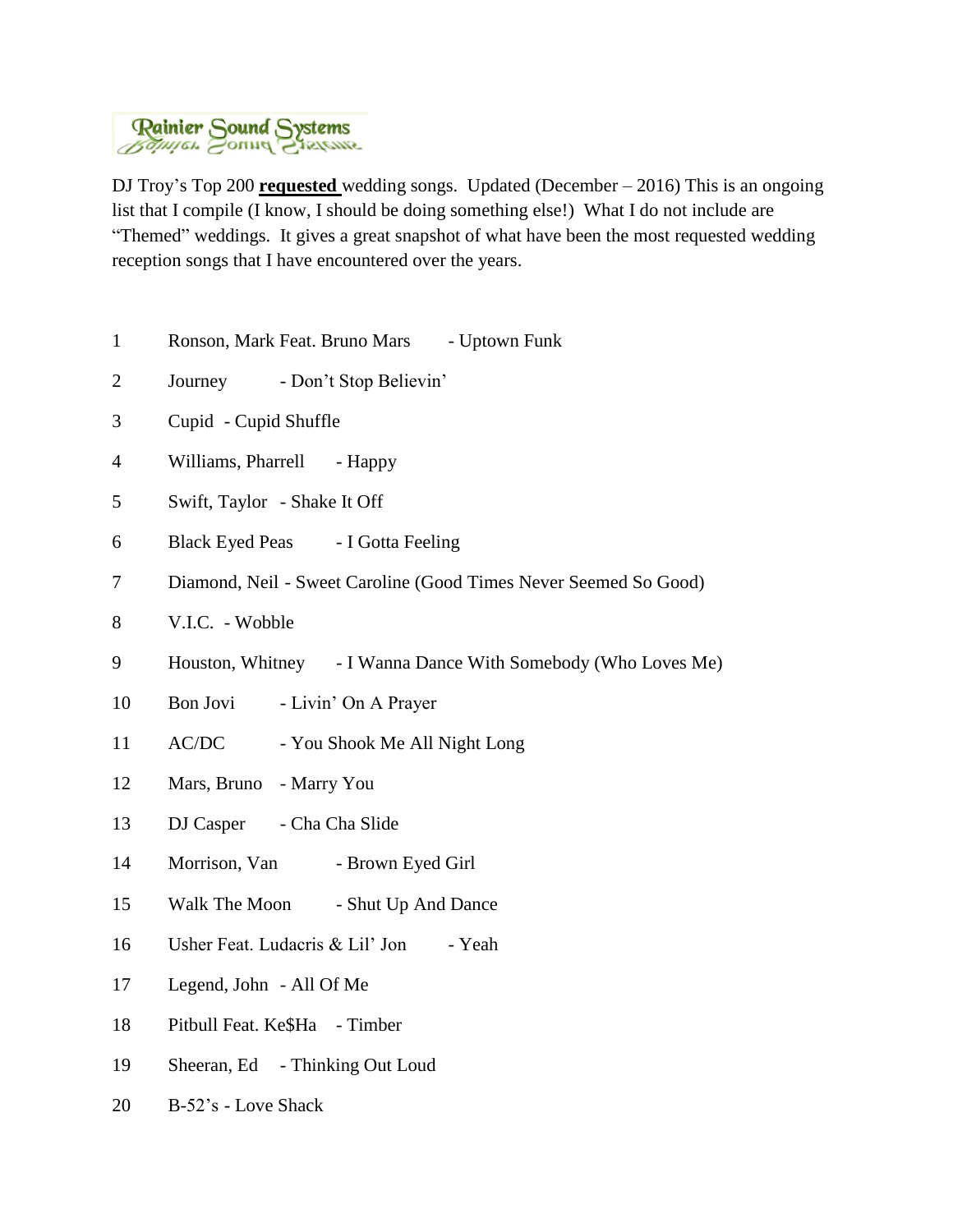

DJ Troy's Top 200 **requested** wedding songs. Updated (December – 2016) This is an ongoing list that I compile (I know, I should be doing something else!) What I do not include are "Themed" weddings. It gives a great snapshot of what have been the most requested wedding reception songs that I have encountered over the years.

- 1 Ronson, Mark Feat. Bruno Mars Uptown Funk
- 2 Journey Don't Stop Believin'
- 3 Cupid Cupid Shuffle
- 4 Williams, Pharrell Happy
- 5 Swift, Taylor Shake It Off
- 6 Black Eyed Peas I Gotta Feeling
- 7 Diamond, Neil Sweet Caroline (Good Times Never Seemed So Good)
- 8 V.I.C. Wobble
- 9 Houston, Whitney I Wanna Dance With Somebody (Who Loves Me)
- 10 Bon Jovi Livin' On A Prayer
- 11 AC/DC You Shook Me All Night Long
- 12 Mars, Bruno Marry You
- 13 DJ Casper Cha Cha Slide
- 14 Morrison, Van Brown Eyed Girl
- 15 Walk The Moon Shut Up And Dance
- 16 Usher Feat. Ludacris & Lil' Jon Yeah
- 17 Legend, John All Of Me
- 18 Pitbull Feat. Ke\$Ha Timber
- 19 Sheeran, Ed Thinking Out Loud
- 20 B-52's Love Shack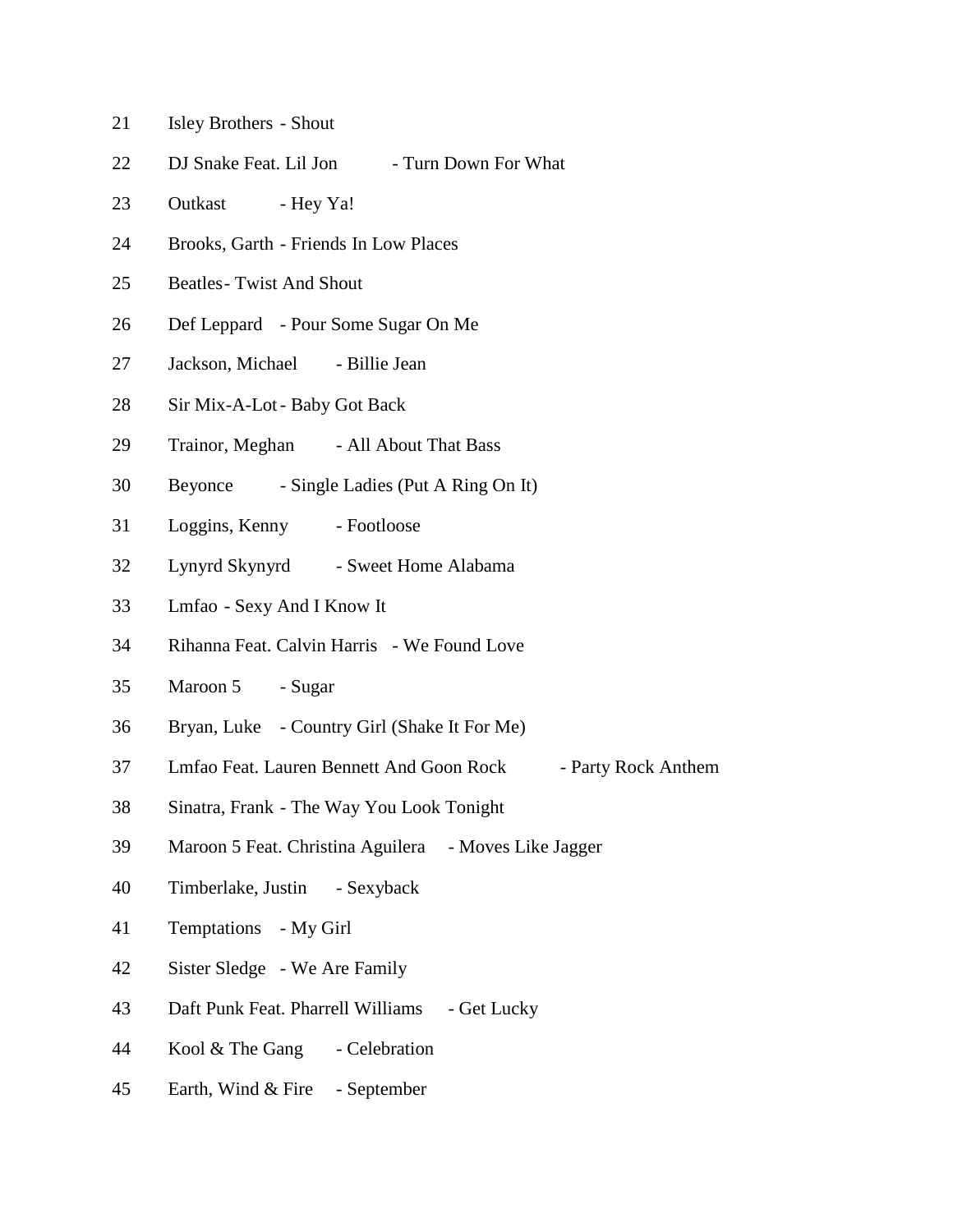- Isley Brothers Shout
- 22 DJ Snake Feat. Lil Jon Turn Down For What
- 23 Outkast Hey Ya!
- Brooks, Garth Friends In Low Places
- Beatles- Twist And Shout
- Def Leppard Pour Some Sugar On Me
- Jackson, Michael Billie Jean
- Sir Mix-A-Lot- Baby Got Back
- 29 Trainor, Meghan All About That Bass
- Beyonce Single Ladies (Put A Ring On It)
- Loggins, Kenny Footloose
- Lynyrd Skynyrd Sweet Home Alabama
- Lmfao Sexy And I Know It
- Rihanna Feat. Calvin Harris We Found Love
- Maroon 5 Sugar
- Bryan, Luke Country Girl (Shake It For Me)
- Lmfao Feat. Lauren Bennett And Goon Rock Party Rock Anthem
- Sinatra, Frank The Way You Look Tonight
- Maroon 5 Feat. Christina Aguilera Moves Like Jagger
- Timberlake, Justin Sexyback
- Temptations My Girl
- Sister Sledge We Are Family
- 43 Daft Punk Feat. Pharrell Williams Get Lucky
- 44 Kool & The Gang Celebration
- Earth, Wind & Fire September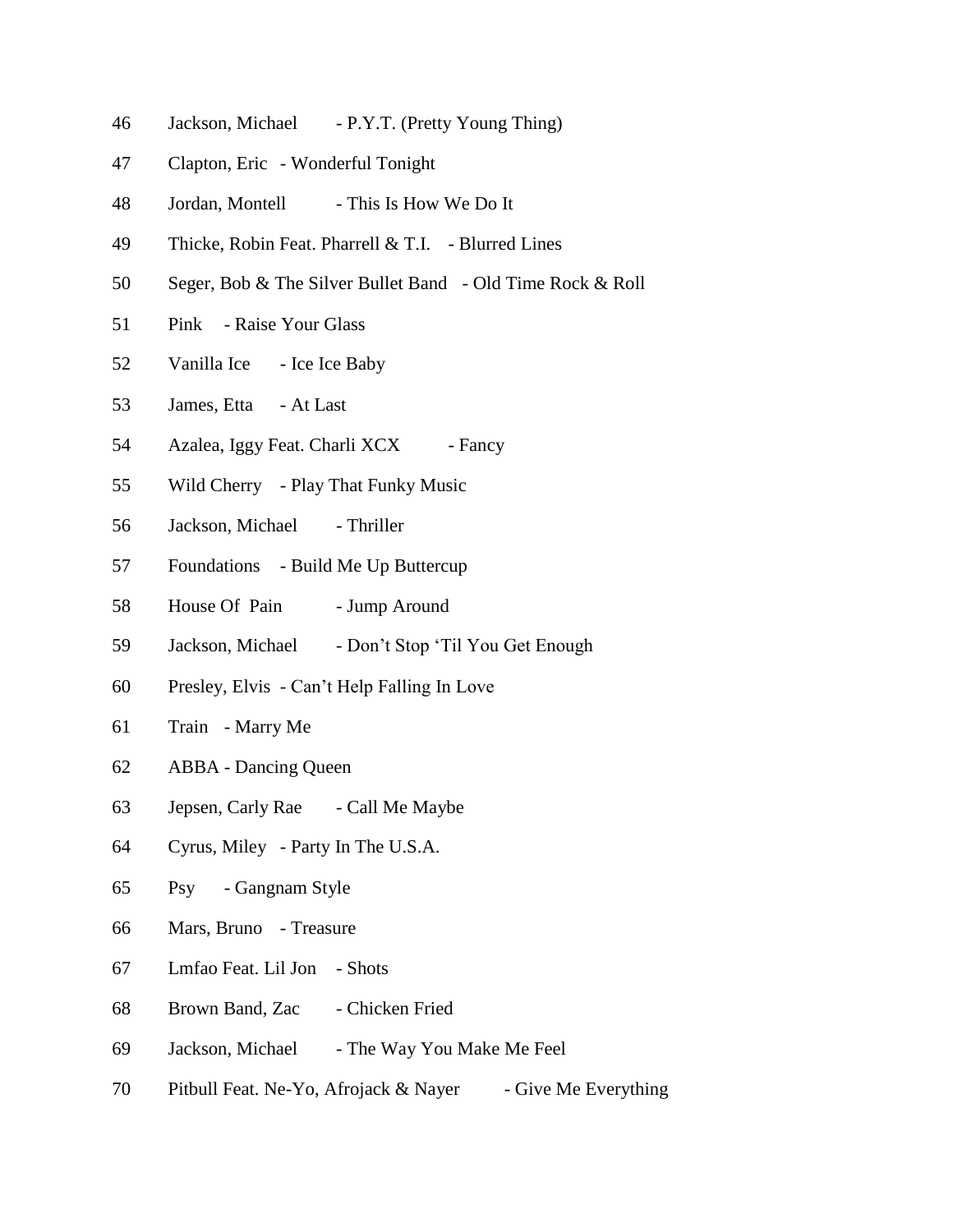- Jackson, Michael P.Y.T. (Pretty Young Thing)
- Clapton, Eric Wonderful Tonight
- 48 Jordan, Montell This Is How We Do It
- Thicke, Robin Feat. Pharrell & T.I. Blurred Lines
- Seger, Bob & The Silver Bullet Band Old Time Rock & Roll
- Pink Raise Your Glass
- 52 Vanilla Ice Ice Ice Baby
- James, Etta At Last
- 54 Azalea, Iggy Feat. Charli XCX Fancy
- Wild Cherry Play That Funky Music
- 56 Jackson, Michael Thriller
- Foundations Build Me Up Buttercup
- 58 House Of Pain Jump Around
- Jackson, Michael Don't Stop 'Til You Get Enough
- Presley, Elvis Can't Help Falling In Love
- Train Marry Me
- ABBA Dancing Queen
- Jepsen, Carly Rae Call Me Maybe
- Cyrus, Miley Party In The U.S.A.
- Psy Gangnam Style
- Mars, Bruno Treasure
- Lmfao Feat. Lil Jon Shots
- 68 Brown Band, Zac Chicken Fried
- 69 Jackson, Michael The Way You Make Me Feel
- 70 Pitbull Feat. Ne-Yo, Afrojack & Nayer Give Me Everything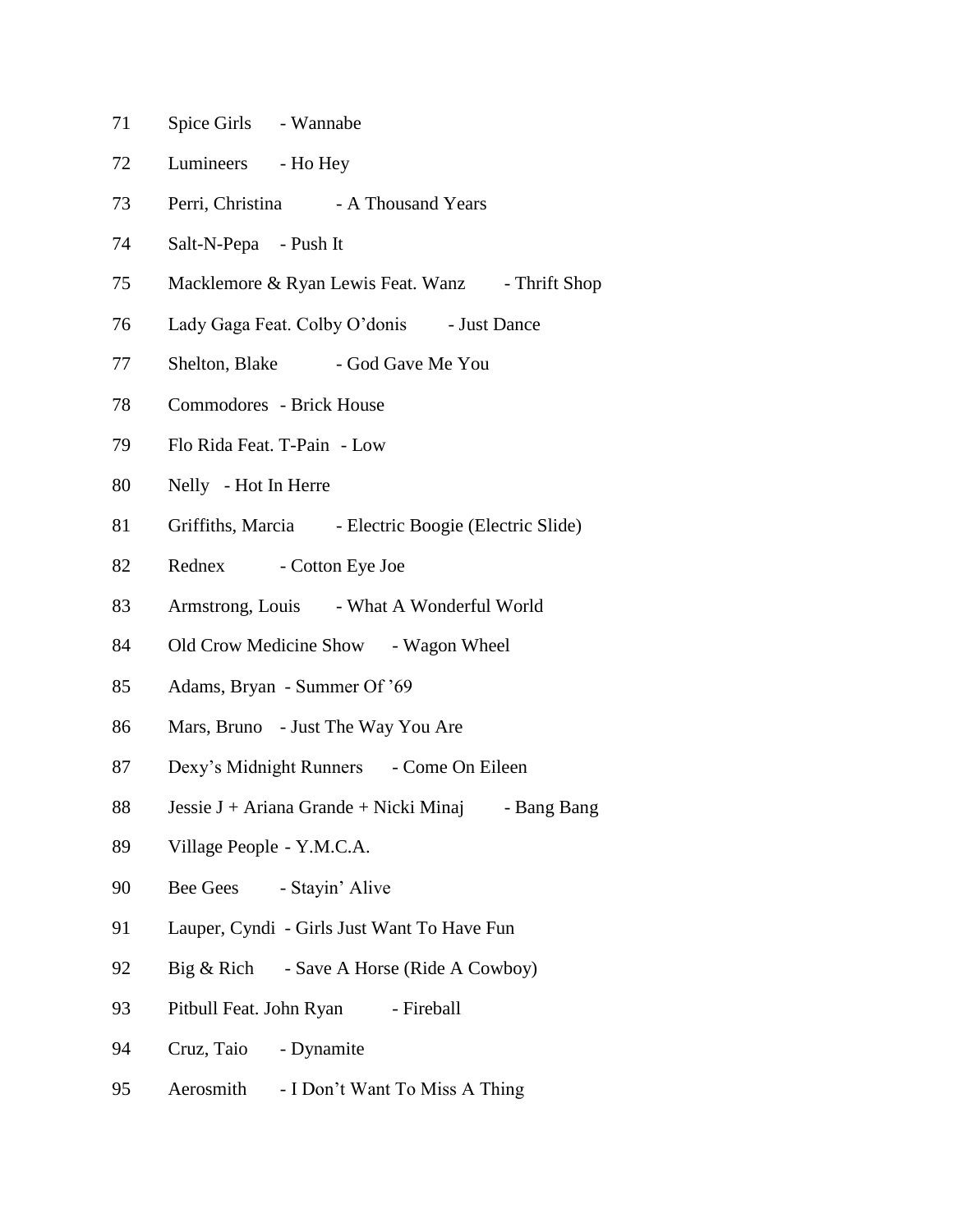- 71 Spice Girls Wannabe
- 72 Lumineers Ho Hey
- 73 Perri, Christina A Thousand Years
- 74 Salt-N-Pepa Push It
- 75 Macklemore & Ryan Lewis Feat. Wanz Thrift Shop
- 76 Lady Gaga Feat. Colby O'donis Just Dance
- 77 Shelton, Blake God Gave Me You
- 78 Commodores Brick House
- 79 Flo Rida Feat. T-Pain Low
- 80 Nelly Hot In Herre
- 81 Griffiths, Marcia Electric Boogie (Electric Slide)
- 82 Rednex Cotton Eye Joe
- 83 Armstrong, Louis What A Wonderful World
- 84 Old Crow Medicine Show Wagon Wheel
- 85 Adams, Bryan Summer Of '69
- 86 Mars, Bruno Just The Way You Are
- 87 Dexy's Midnight Runners Come On Eileen
- 88 Jessie J + Ariana Grande + Nicki Minaj Bang Bang
- 89 Village People Y.M.C.A.
- 90 Bee Gees Stayin' Alive
- 91 Lauper, Cyndi Girls Just Want To Have Fun
- 92 Big & Rich Save A Horse (Ride A Cowboy)
- 93 Pitbull Feat. John Ryan Fireball
- 94 Cruz, Taio Dynamite
- 95 Aerosmith I Don't Want To Miss A Thing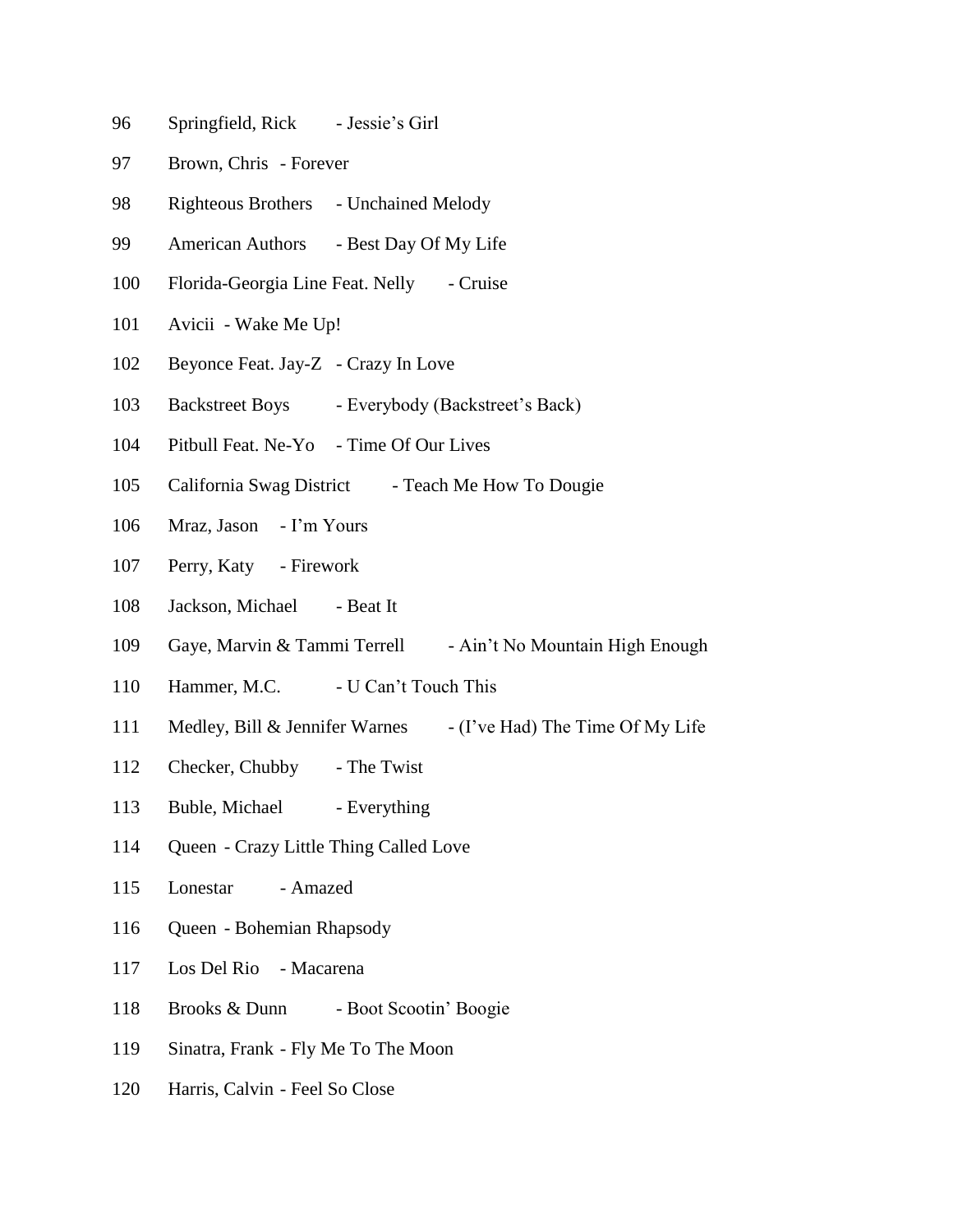- 96 Springfield, Rick Jessie's Girl
- 97 Brown, Chris Forever
- 98 Righteous Brothers Unchained Melody
- 99 American Authors Best Day Of My Life
- 100 Florida-Georgia Line Feat. Nelly Cruise
- 101 Avicii Wake Me Up!
- 102 Beyonce Feat. Jay-Z Crazy In Love
- 103 Backstreet Boys Everybody (Backstreet's Back)
- 104 Pitbull Feat. Ne-Yo Time Of Our Lives
- 105 California Swag District Teach Me How To Dougie
- 106 Mraz, Jason I'm Yours
- 107 Perry, Katy Firework
- 108 Jackson, Michael Beat It
- 109 Gaye, Marvin & Tammi Terrell Ain't No Mountain High Enough
- 110 Hammer, M.C. U Can't Touch This
- 111 Medley, Bill & Jennifer Warnes (I've Had) The Time Of My Life
- 112 Checker, Chubby The Twist
- 113 Buble, Michael Everything
- 114 Queen Crazy Little Thing Called Love
- 115 Lonestar Amazed
- 116 Queen Bohemian Rhapsody
- 117 Los Del Rio Macarena
- 118 Brooks & Dunn Boot Scootin' Boogie
- 119 Sinatra, Frank Fly Me To The Moon
- 120 Harris, Calvin Feel So Close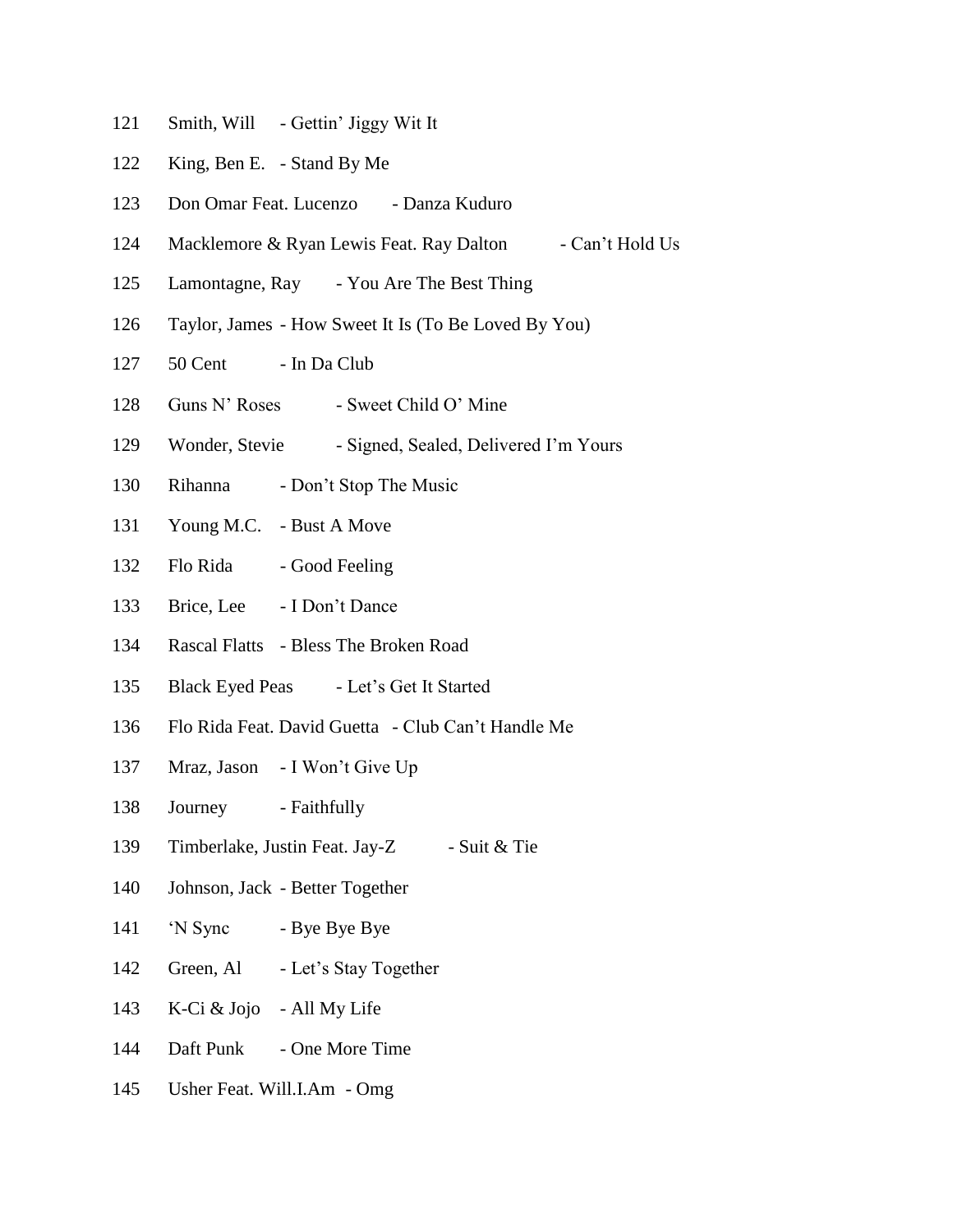- 121 Smith, Will Gettin' Jiggy Wit It
- 122 King, Ben E. Stand By Me
- 123 Don Omar Feat. Lucenzo Danza Kuduro
- 124 Macklemore & Ryan Lewis Feat. Ray Dalton Can't Hold Us
- 125 Lamontagne, Ray You Are The Best Thing
- 126 Taylor, James How Sweet It Is (To Be Loved By You)
- 127 50 Cent In Da Club
- 128 Guns N' Roses Sweet Child O' Mine
- 129 Wonder, Stevie Signed, Sealed, Delivered I'm Yours
- 130 Rihanna Don't Stop The Music
- 131 Young M.C. Bust A Move
- 132 Flo Rida Good Feeling
- 133 Brice, Lee I Don't Dance
- 134 Rascal Flatts Bless The Broken Road
- 135 Black Eyed Peas Let's Get It Started
- 136 Flo Rida Feat. David Guetta Club Can't Handle Me
- 137 Mraz, Jason I Won't Give Up
- 138 Journey Faithfully
- 139 Timberlake, Justin Feat. Jay-Z Suit & Tie
- 140 Johnson, Jack Better Together
- 141 'N Sync Bye Bye Bye
- 142 Green, Al Let's Stay Together
- 143 K-Ci & Jojo All My Life
- 144 Daft Punk One More Time
- 145 Usher Feat. Will.I.Am Omg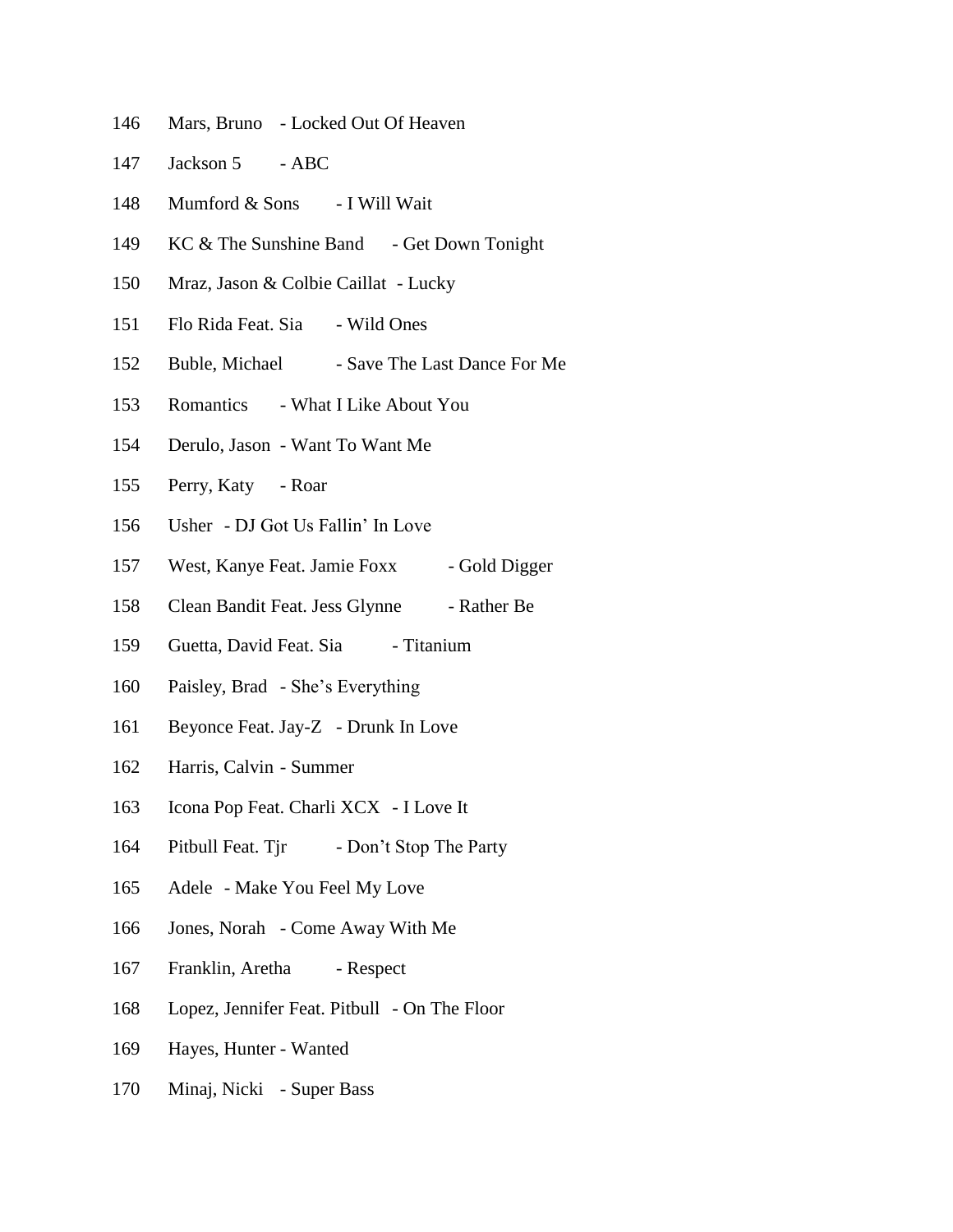- Mars, Bruno Locked Out Of Heaven
- 147 Jackson 5 ABC
- Mumford & Sons I Will Wait
- 149 KC & The Sunshine Band Get Down Tonight
- Mraz, Jason & Colbie Caillat Lucky
- Flo Rida Feat. Sia Wild Ones
- 152 Buble, Michael Save The Last Dance For Me
- Romantics What I Like About You
- Derulo, Jason Want To Want Me
- Perry, Katy Roar
- Usher DJ Got Us Fallin' In Love
- 157 West, Kanye Feat. Jamie Foxx Gold Digger
- 158 Clean Bandit Feat. Jess Glynne Rather Be
- 159 Guetta, David Feat. Sia Titanium
- Paisley, Brad She's Everything
- Beyonce Feat. Jay-Z Drunk In Love
- Harris, Calvin Summer
- Icona Pop Feat. Charli XCX I Love It
- 164 Pitbull Feat. Tir Don't Stop The Party
- Adele Make You Feel My Love
- Jones, Norah Come Away With Me
- 167 Franklin, Aretha Respect
- Lopez, Jennifer Feat. Pitbull On The Floor
- Hayes, Hunter Wanted
- Minaj, Nicki Super Bass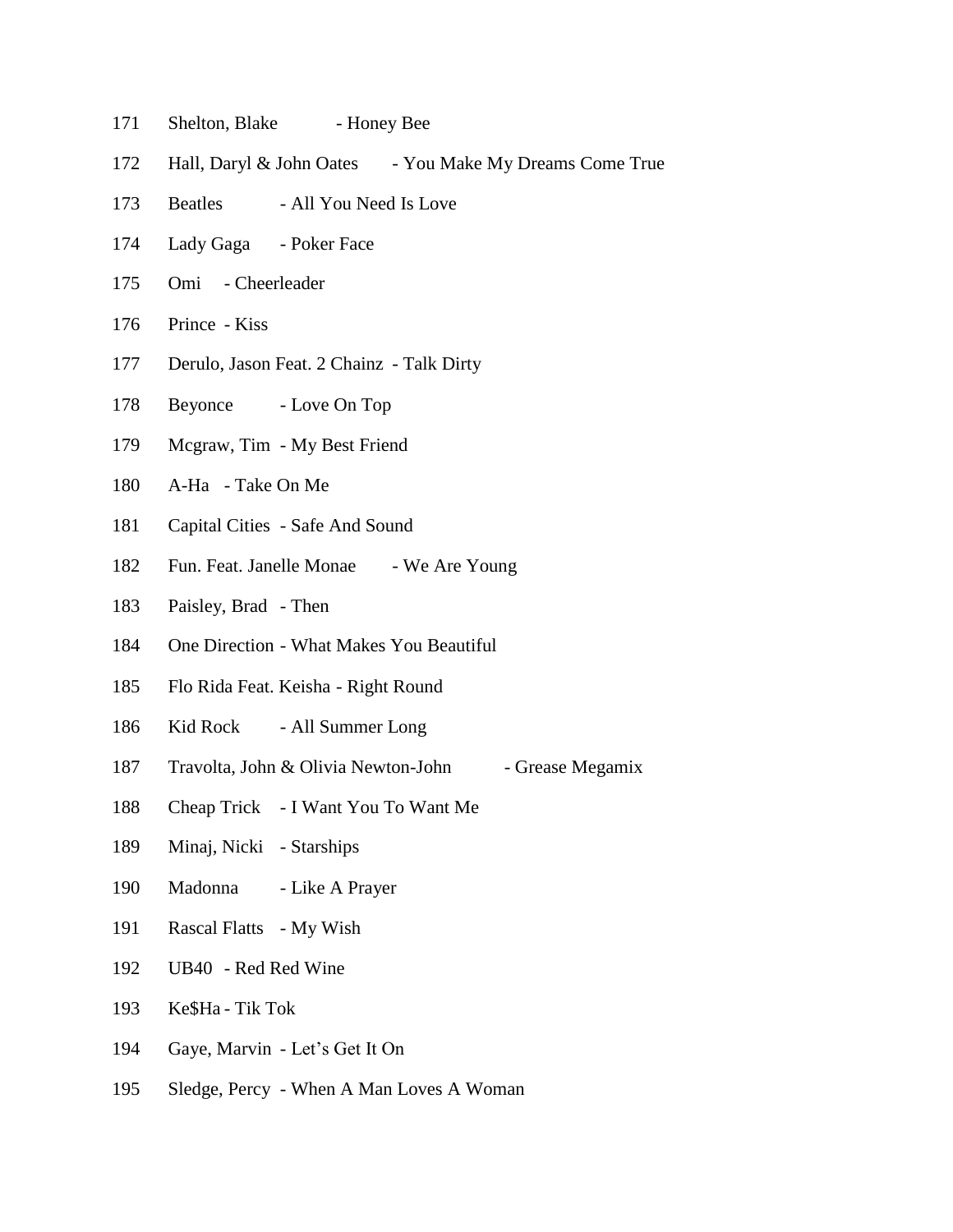- 171 Shelton, Blake Honey Bee
- 172 Hall, Daryl & John Oates You Make My Dreams Come True
- 173 Beatles All You Need Is Love
- Lady Gaga Poker Face
- Omi Cheerleader
- Prince Kiss
- Derulo, Jason Feat. 2 Chainz Talk Dirty
- 178 Beyonce Love On Top
- Mcgraw, Tim My Best Friend
- A-Ha Take On Me
- Capital Cities Safe And Sound
- 182 Fun. Feat. Janelle Monae We Are Young
- Paisley, Brad Then
- One Direction What Makes You Beautiful
- Flo Rida Feat. Keisha Right Round
- 186 Kid Rock All Summer Long
- 187 Travolta, John & Olivia Newton-John Grease Megamix
- Cheap Trick I Want You To Want Me
- Minaj, Nicki Starships
- Madonna Like A Prayer
- Rascal Flatts My Wish
- UB40 Red Red Wine
- Ke\$Ha Tik Tok
- Gaye, Marvin Let's Get It On
- Sledge, Percy When A Man Loves A Woman